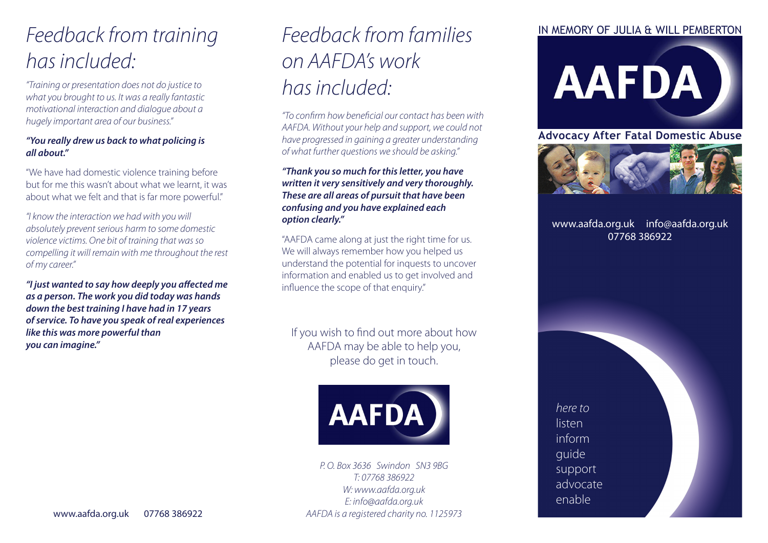### *Feedback from training has included:*

*"Training or presentation does not do justice to what you brought to us. It was a really fantastic motivational interaction and dialogue about a hugely important area of our business."*

### *"You really drew us back to what policing is all about."*

"We have had domestic violence training before but for me this wasn't about what we learnt, it was about what we felt and that is far more powerful."

*"I know the interaction we had with you will absolutely prevent serious harm to some domestic violence victims. One bit of training that was so compelling it will remain with me throughout the rest of my career."*

*"I just wanted to say how deeply you affected me as a person. The work you did today was hands down the best training I have had in 17 years of service. To have you speak of real experiences like this was more powerful than you can imagine."*

## *Feedback from families on AAFDA's work has included:*

*"To confirm how beneficial our contact has been with AAFDA. Without your help and support, we could not have progressed in gaining a greater understanding of what further questions we should be asking."*

### *"Thank you so much for this letter, you have written it very sensitively and very thoroughly. These are all areas of pursuit that have been confusing and you have explained each option clearly."*

"AAFDA came along at just the right time for us. We will always remember how you helped us understand the potential for inquests to uncover information and enabled us to get involved and influence the scope of that enquiry."

If you wish to find out more about how AAFDA may be able to help you, please do get in touch.



*P. O. Box 3636 Swindon SN3 9BG T: 07768 386922 W: www.aafda.org.uk E: info@aafda.org.uk AAFDA is a registered charity no. 1125973*

### IN MEMORY OF JULIA & WILL PEMBERTON

**AAFDA** 

**Advocacy After Fatal Domestic Abuse**



www.aafda.org.uk info@aafda.org.uk 07768 386922

*here to*  listen inform guide support advocate enable